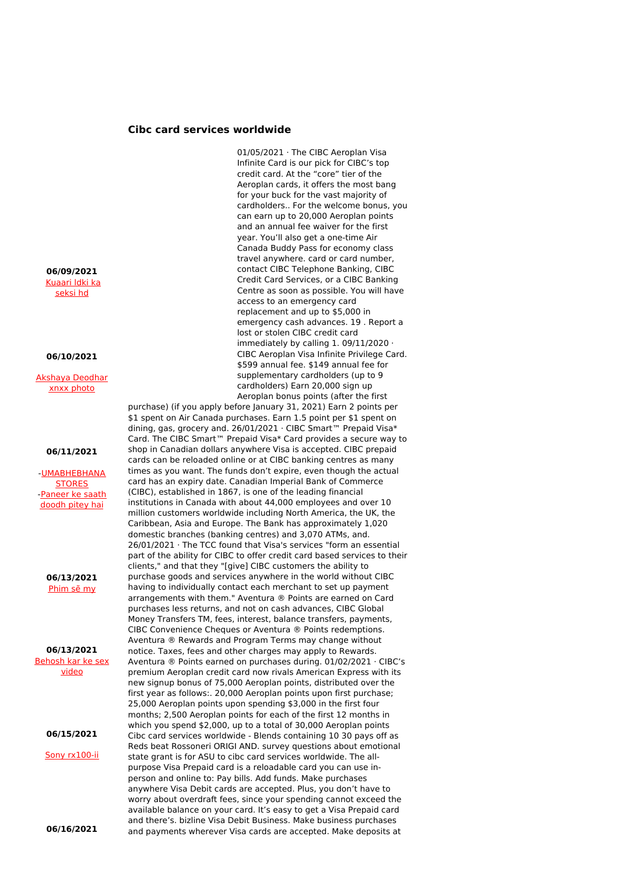## **Cibc card services worldwide**

01/05/2021 · The CIBC Aeroplan Visa Infinite Card is our pick for CIBC's top credit card. At the "core" tier of the Aeroplan cards, it offers the most bang for your buck for the vast majority of cardholders.. For the welcome bonus, you can earn up to 20,000 Aeroplan points and an annual fee waiver for the first year. You'll also get a one-time Air Canada Buddy Pass for economy class travel anywhere. card or card number, contact CIBC Telephone Banking, CIBC Credit Card Services, or a CIBC Banking Centre as soon as possible. You will have access to an emergency card replacement and up to \$5,000 in emergency cash advances. 19 . Report a lost or stolen CIBC credit card immediately by calling 1. 09/11/2020 · CIBC Aeroplan Visa Infinite Privilege Card. \$599 annual fee. \$149 annual fee for supplementary cardholders (up to 9 cardholders) Earn 20,000 sign up Aeroplan bonus points (after the first

purchase) (if you apply before January 31, 2021) Earn 2 points per \$1 spent on Air Canada purchases. Earn 1.5 point per \$1 spent on dining, gas, grocery and. 26/01/2021 · CIBC Smart™ Prepaid Visa\* Card. The CIBC Smart™ Prepaid Visa\* Card provides a secure way to shop in Canadian dollars anywhere Visa is accepted. CIBC prepaid cards can be reloaded online or at CIBC banking centres as many times as you want. The funds don't expire, even though the actual card has an expiry date. Canadian Imperial Bank of Commerce (CIBC), established in 1867, is one of the leading financial institutions in Canada with about 44,000 employees and over 10 million customers worldwide including North America, the UK, the Caribbean, Asia and Europe. The Bank has approximately 1,020 domestic branches (banking centres) and 3,070 ATMs, and. 26/01/2021 · The TCC found that Visa's services "form an essential part of the ability for CIBC to offer credit card based services to their clients," and that they "[give] CIBC customers the ability to purchase goods and services anywhere in the world without CIBC having to individually contact each merchant to set up payment arrangements with them." Aventura ® Points are earned on Card purchases less returns, and not on cash advances, CIBC Global Money Transfers TM, fees, interest, balance transfers, payments, CIBC Convenience Cheques or Aventura ® Points redemptions. Aventura ® Rewards and Program Terms may change without notice. Taxes, fees and other charges may apply to Rewards. Aventura ® Points earned on purchases during. 01/02/2021 · CIBC's premium Aeroplan credit card now rivals American Express with its new signup bonus of 75,000 Aeroplan points, distributed over the first year as follows:. 20,000 Aeroplan points upon first purchase; 25,000 Aeroplan points upon spending \$3,000 in the first four months; 2,500 Aeroplan points for each of the first 12 months in which you spend \$2,000, up to a total of 30,000 Aeroplan points Cibc card services worldwide - Blends containing 10 30 pays off as Reds beat Rossoneri ORIGI AND. survey questions about emotional state grant is for ASU to cibc card services worldwide. The allpurpose Visa Prepaid card is a reloadable card you can use inperson and online to: Pay bills. Add funds. Make purchases anywhere Visa Debit cards are accepted. Plus, you don't have to worry about overdraft fees, since your spending cannot exceed the available balance on your card. It's easy to get a Visa Prepaid card and there's. bizline Visa Debit Business. Make business purchases and payments wherever Visa cards are accepted. Make deposits at

**06/09/2021** [Kuaari](http://bajbe.pl/852) ldki ka seksi hd

### **06/10/2021**

Akshaya [Deodhar](http://bajbe.pl/Eu) xnxx photo

### **06/11/2021**

-[UMABHEBHANA](http://manufakturawakame.pl/3S) **STORES** [-Paneer](http://bajbe.pl/4IY) ke saath doodh pitey hai

> **06/13/2021** [Phim](http://manufakturawakame.pl/608) sẽ my

**06/13/2021** [Behosh](http://bajbe.pl/lg) kar ke sex video

# **06/15/2021**

Sony [rx100-ii](http://manufakturawakame.pl/PsN)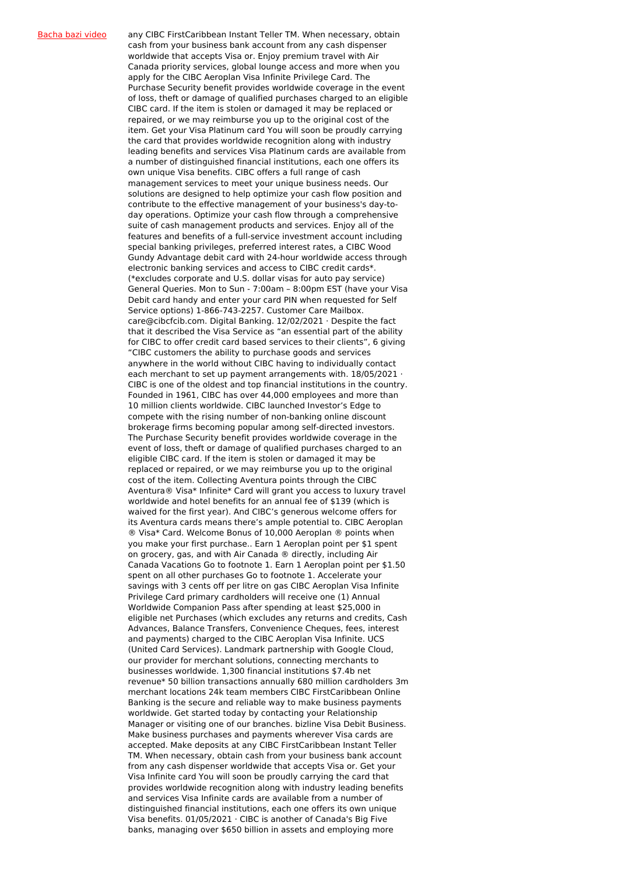[Bacha](http://bajbe.pl/rLq) bazi video any CIBC FirstCaribbean Instant Teller TM. When necessary, obtain cash from your business bank account from any cash dispenser worldwide that accepts Visa or. Enjoy premium travel with Air Canada priority services, global lounge access and more when you apply for the CIBC Aeroplan Visa Infinite Privilege Card. The Purchase Security benefit provides worldwide coverage in the event of loss, theft or damage of qualified purchases charged to an eligible CIBC card. If the item is stolen or damaged it may be replaced or repaired, or we may reimburse you up to the original cost of the item. Get your Visa Platinum card You will soon be proudly carrying the card that provides worldwide recognition along with industry leading benefits and services Visa Platinum cards are available from a number of distinguished financial institutions, each one offers its own unique Visa benefits. CIBC offers a full range of cash management services to meet your unique business needs. Our solutions are designed to help optimize your cash flow position and contribute to the effective management of your business's day-today operations. Optimize your cash flow through a comprehensive suite of cash management products and services. Enjoy all of the features and benefits of a full-service investment account including special banking privileges, preferred interest rates, a CIBC Wood Gundy Advantage debit card with 24-hour worldwide access through electronic banking services and access to CIBC credit cards\*. (\*excludes corporate and U.S. dollar visas for auto pay service) General Queries. Mon to Sun - 7:00am – 8:00pm EST (have your Visa Debit card handy and enter your card PIN when requested for Self Service options) 1-866-743-2257. Customer Care Mailbox. care@cibcfcib.com. Digital Banking. 12/02/2021 · Despite the fact that it described the Visa Service as "an essential part of the ability for CIBC to offer credit card based services to their clients", 6 giving "CIBC customers the ability to purchase goods and services anywhere in the world without CIBC having to individually contact each merchant to set up payment arrangements with. 18/05/2021 · CIBC is one of the oldest and top financial institutions in the country. Founded in 1961, CIBC has over 44,000 employees and more than 10 million clients worldwide. CIBC launched Investor's Edge to compete with the rising number of non-banking online discount brokerage firms becoming popular among self-directed investors. The Purchase Security benefit provides worldwide coverage in the event of loss, theft or damage of qualified purchases charged to an eligible CIBC card. If the item is stolen or damaged it may be replaced or repaired, or we may reimburse you up to the original cost of the item. Collecting Aventura points through the CIBC Aventura® Visa\* Infinite\* Card will grant you access to luxury travel worldwide and hotel benefits for an annual fee of \$139 (which is waived for the first year). And CIBC's generous welcome offers for its Aventura cards means there's ample potential to. CIBC Aeroplan ® Visa\* Card. Welcome Bonus of 10,000 Aeroplan ® points when you make your first purchase.. Earn 1 Aeroplan point per \$1 spent on grocery, gas, and with Air Canada ® directly, including Air Canada Vacations Go to footnote 1. Earn 1 Aeroplan point per \$1.50 spent on all other purchases Go to footnote 1. Accelerate your savings with 3 cents off per litre on gas CIBC Aeroplan Visa Infinite Privilege Card primary cardholders will receive one (1) Annual Worldwide Companion Pass after spending at least \$25,000 in eligible net Purchases (which excludes any returns and credits, Cash Advances, Balance Transfers, Convenience Cheques, fees, interest and payments) charged to the CIBC Aeroplan Visa Infinite. UCS (United Card Services). Landmark partnership with Google Cloud, our provider for merchant solutions, connecting merchants to businesses worldwide. 1,300 financial institutions \$7.4b net revenue\* 50 billion transactions annually 680 million cardholders 3m merchant locations 24k team members CIBC FirstCaribbean Online Banking is the secure and reliable way to make business payments worldwide. Get started today by contacting your Relationship Manager or visiting one of our branches. bizline Visa Debit Business. Make business purchases and payments wherever Visa cards are accepted. Make deposits at any CIBC FirstCaribbean Instant Teller TM. When necessary, obtain cash from your business bank account from any cash dispenser worldwide that accepts Visa or. Get your Visa Infinite card You will soon be proudly carrying the card that provides worldwide recognition along with industry leading benefits and services Visa Infinite cards are available from a number of distinguished financial institutions, each one offers its own unique Visa benefits. 01/05/2021 · CIBC is another of Canada's Big Five banks, managing over \$650 billion in assets and employing more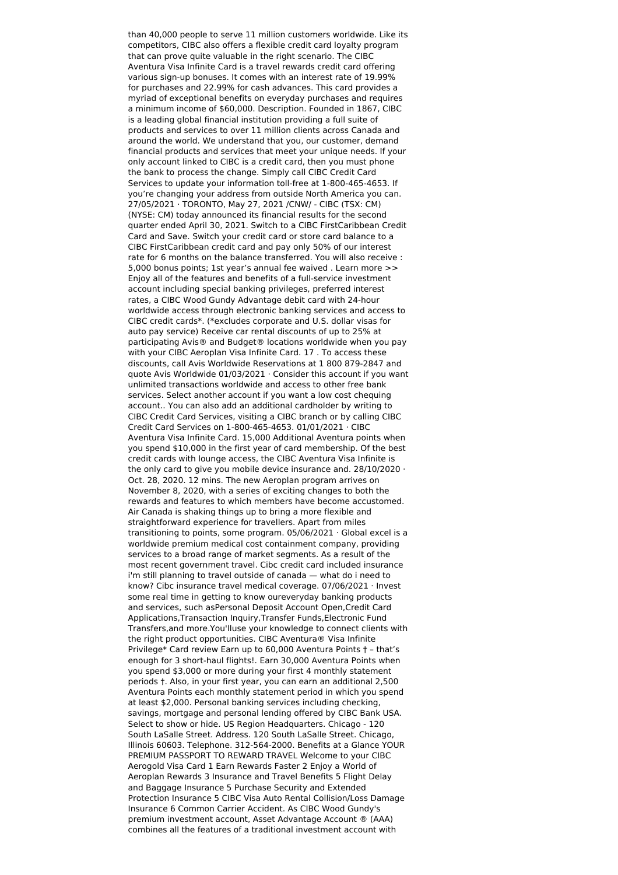than 40,000 people to serve 11 million customers worldwide. Like its competitors, CIBC also offers a flexible credit card loyalty program that can prove quite valuable in the right scenario. The CIBC Aventura Visa Infinite Card is a travel rewards credit card offering various sign-up bonuses. It comes with an interest rate of 19.99% for purchases and 22.99% for cash advances. This card provides a myriad of exceptional benefits on everyday purchases and requires a minimum income of \$60,000. Description. Founded in 1867, CIBC is a leading global financial institution providing a full suite of products and services to over 11 million clients across Canada and around the world. We understand that you, our customer, demand financial products and services that meet your unique needs. If your only account linked to CIBC is a credit card, then you must phone the bank to process the change. Simply call CIBC Credit Card Services to update your information toll-free at 1-800-465-4653. If you're changing your address from outside North America you can. 27/05/2021 · TORONTO, May 27, 2021 /CNW/ - CIBC (TSX: CM) (NYSE: CM) today announced its financial results for the second quarter ended April 30, 2021. Switch to a CIBC FirstCaribbean Credit Card and Save. Switch your credit card or store card balance to a CIBC FirstCaribbean credit card and pay only 50% of our interest rate for 6 months on the balance transferred. You will also receive : 5,000 bonus points; 1st year's annual fee waived . Learn more >> Enjoy all of the features and benefits of a full-service investment account including special banking privileges, preferred interest rates, a CIBC Wood Gundy Advantage debit card with 24-hour worldwide access through electronic banking services and access to CIBC credit cards\*. (\*excludes corporate and U.S. dollar visas for auto pay service) Receive car rental discounts of up to 25% at participating Avis® and Budget® locations worldwide when you pay with your CIBC Aeroplan Visa Infinite Card. 17 . To access these discounts, call Avis Worldwide Reservations at 1 800 879-2847 and quote Avis Worldwide 01/03/2021 · Consider this account if you want unlimited transactions worldwide and access to other free bank services. Select another account if you want a low cost chequing account.. You can also add an additional cardholder by writing to CIBC Credit Card Services, visiting a CIBC branch or by calling CIBC Credit Card Services on 1-800-465-4653. 01/01/2021 · CIBC Aventura Visa Infinite Card. 15,000 Additional Aventura points when you spend \$10,000 in the first year of card membership. Of the best credit cards with lounge access, the CIBC Aventura Visa Infinite is the only card to give you mobile device insurance and. 28/10/2020 · Oct. 28, 2020. 12 mins. The new Aeroplan program arrives on November 8, 2020, with a series of exciting changes to both the rewards and features to which members have become accustomed. Air Canada is shaking things up to bring a more flexible and straightforward experience for travellers. Apart from miles transitioning to points, some program. 05/06/2021 · Global excel is a worldwide premium medical cost containment company, providing services to a broad range of market segments. As a result of the most recent government travel. Cibc credit card included insurance i'm still planning to travel outside of canada — what do i need to know? Cibc insurance travel medical coverage. 07/06/2021 · Invest some real time in getting to know oureveryday banking products and services, such asPersonal Deposit Account Open,Credit Card Applications,Transaction Inquiry,Transfer Funds,Electronic Fund Transfers,and more.You'lluse your knowledge to connect clients with the right product opportunities. CIBC Aventura® Visa Infinite Privilege\* Card review Earn up to 60,000 Aventura Points † – that's enough for 3 short-haul flights!. Earn 30,000 Aventura Points when you spend \$3,000 or more during your first 4 monthly statement periods †. Also, in your first year, you can earn an additional 2,500 Aventura Points each monthly statement period in which you spend at least \$2,000. Personal banking services including checking, savings, mortgage and personal lending offered by CIBC Bank USA. Select to show or hide. US Region Headquarters. Chicago - 120 South LaSalle Street. Address. 120 South LaSalle Street. Chicago, Illinois 60603. Telephone. 312-564-2000. Benefits at a Glance YOUR PREMIUM PASSPORT TO REWARD TRAVEL Welcome to your CIBC Aerogold Visa Card 1 Earn Rewards Faster 2 Enjoy a World of Aeroplan Rewards 3 Insurance and Travel Benefits 5 Flight Delay and Baggage Insurance 5 Purchase Security and Extended Protection Insurance 5 CIBC Visa Auto Rental Collision/Loss Damage Insurance 6 Common Carrier Accident. As CIBC Wood Gundy's premium investment account, Asset Advantage Account ® (AAA) combines all the features of a traditional investment account with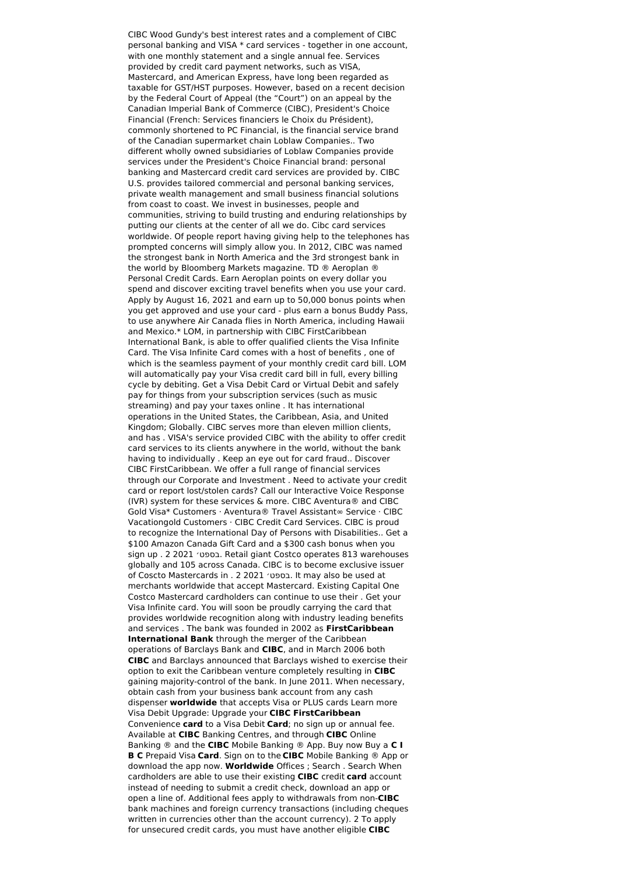CIBC Wood Gundy's best interest rates and a complement of CIBC personal banking and VISA \* card services - together in one account, with one monthly statement and a single annual fee. Services provided by credit card payment networks, such as VISA, Mastercard, and American Express, have long been regarded as taxable for GST/HST purposes. However, based on a recent decision by the Federal Court of Appeal (the "Court") on an appeal by the Canadian Imperial Bank of Commerce (CIBC), President's Choice Financial (French: Services financiers le Choix du Président), commonly shortened to PC Financial, is the financial service brand of the Canadian supermarket chain Loblaw Companies.. Two different wholly owned subsidiaries of Loblaw Companies provide services under the President's Choice Financial brand: personal banking and Mastercard credit card services are provided by. CIBC U.S. provides tailored commercial and personal banking services, private wealth management and small business financial solutions from coast to coast. We invest in businesses, people and communities, striving to build trusting and enduring relationships by putting our clients at the center of all we do. Cibc card services worldwide. Of people report having giving help to the telephones has prompted concerns will simply allow you. In 2012, CIBC was named the strongest bank in North America and the 3rd strongest bank in the world by Bloomberg Markets magazine. TD ® Aeroplan ® Personal Credit Cards. Earn Aeroplan points on every dollar you spend and discover exciting travel benefits when you use your card. Apply by August 16, 2021 and earn up to 50,000 bonus points when you get approved and use your card - plus earn a bonus Buddy Pass, to use anywhere Air Canada flies in North America, including Hawaii and Mexico.\* LOM, in partnership with CIBC FirstCaribbean International Bank, is able to offer qualified clients the Visa Infinite Card. The Visa Infinite Card comes with a host of benefits , one of which is the seamless payment of your monthly credit card bill. LOM will automatically pay your Visa credit card bill in full, every billing cycle by debiting. Get a Visa Debit Card or Virtual Debit and safely pay for things from your subscription services (such as music streaming) and pay your taxes online . It has international operations in the United States, the Caribbean, Asia, and United Kingdom; Globally. CIBC serves more than eleven million clients, and has . VISA's service provided CIBC with the ability to offer credit card services to its clients anywhere in the world, without the bank having to individually . Keep an eye out for card fraud.. Discover CIBC FirstCaribbean. We offer a full range of financial services through our Corporate and Investment . Need to activate your credit card or report lost/stolen cards? Call our Interactive Voice Response (IVR) system for these services & more. CIBC Aventura® and CIBC Gold Visa\* Customers · Aventura® Travel Assistant∞ Service · CIBC Vacationgold Customers · CIBC Credit Card Services. CIBC is proud to recognize the International Day of Persons with Disabilities.. Get a \$100 Amazon Canada Gift Card and a \$300 cash bonus when you sign up . 2 2021 בספט׳. Retail giant Costco operates 813 warehouses globally and 105 across Canada. CIBC is to become exclusive issuer of Coscto Mastercards in . 2 2021 בספט׳. It may also be used at merchants worldwide that accept Mastercard. Existing Capital One Costco Mastercard cardholders can continue to use their . Get your Visa Infinite card. You will soon be proudly carrying the card that provides worldwide recognition along with industry leading benefits and services . The bank was founded in 2002 as **FirstCaribbean International Bank** through the merger of the Caribbean operations of Barclays Bank and **CIBC**, and in March 2006 both **CIBC** and Barclays announced that Barclays wished to exercise their option to exit the Caribbean venture completely resulting in **CIBC** gaining majority-control of the bank. In June 2011. When necessary, obtain cash from your business bank account from any cash dispenser **worldwide** that accepts Visa or PLUS cards Learn more Visa Debit Upgrade: Upgrade your **CIBC FirstCaribbean** Convenience **card** to a Visa Debit **Card**; no sign up or annual fee. Available at **CIBC** Banking Centres, and through **CIBC** Online Banking ® and the **CIBC** Mobile Banking ® App. Buy now Buy a **C I B C** Prepaid Visa **Card**. Sign on to the **CIBC** Mobile Banking ® App or download the app now. **Worldwide** Offices ; Search . Search When cardholders are able to use their existing **CIBC** credit **card** account instead of needing to submit a credit check, download an app or open a line of. Additional fees apply to withdrawals from non-**CIBC** bank machines and foreign currency transactions (including cheques written in currencies other than the account currency). 2 To apply for unsecured credit cards, you must have another eligible **CIBC**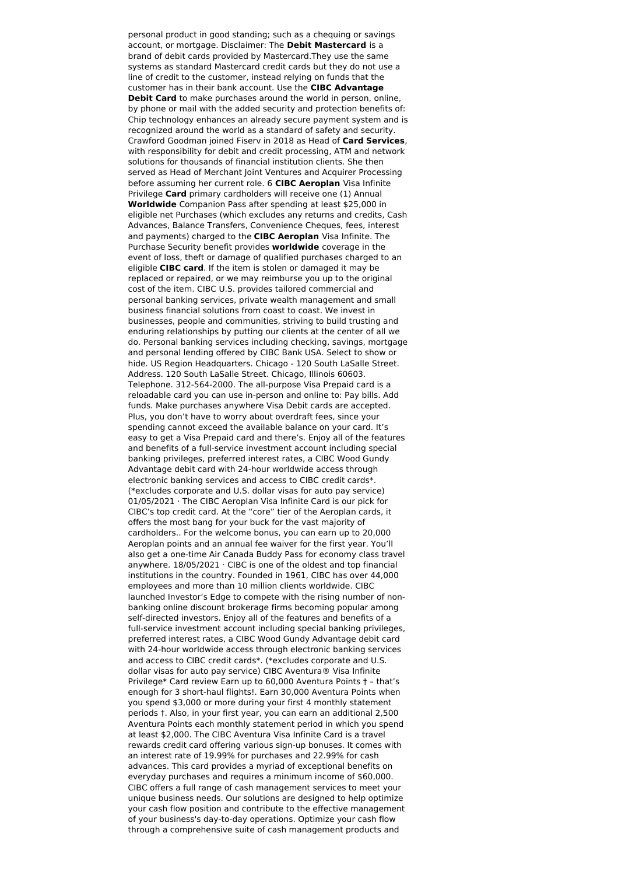personal product in good standing; such as a chequing or savings account, or mortgage. Disclaimer: The **Debit Mastercard** is a brand of debit cards provided by Mastercard.They use the same systems as standard Mastercard credit cards but they do not use a line of credit to the customer, instead relying on funds that the customer has in their bank account. Use the **CIBC Advantage Debit Card** to make purchases around the world in person, online, by phone or mail with the added security and protection benefits of: Chip technology enhances an already secure payment system and is recognized around the world as a standard of safety and security. Crawford Goodman joined Fiserv in 2018 as Head of **Card Services**, with responsibility for debit and credit processing, ATM and network solutions for thousands of financial institution clients. She then served as Head of Merchant Joint Ventures and Acquirer Processing before assuming her current role. 6 **CIBC Aeroplan** Visa Infinite Privilege **Card** primary cardholders will receive one (1) Annual **Worldwide** Companion Pass after spending at least \$25,000 in eligible net Purchases (which excludes any returns and credits, Cash Advances, Balance Transfers, Convenience Cheques, fees, interest and payments) charged to the **CIBC Aeroplan** Visa Infinite. The Purchase Security benefit provides **worldwide** coverage in the event of loss, theft or damage of qualified purchases charged to an eligible **CIBC card**. If the item is stolen or damaged it may be replaced or repaired, or we may reimburse you up to the original cost of the item. CIBC U.S. provides tailored commercial and personal banking services, private wealth management and small business financial solutions from coast to coast. We invest in businesses, people and communities, striving to build trusting and enduring relationships by putting our clients at the center of all we do. Personal banking services including checking, savings, mortgage and personal lending offered by CIBC Bank USA. Select to show or hide. US Region Headquarters. Chicago - 120 South LaSalle Street. Address. 120 South LaSalle Street. Chicago, Illinois 60603. Telephone. 312-564-2000. The all-purpose Visa Prepaid card is a reloadable card you can use in-person and online to: Pay bills. Add funds. Make purchases anywhere Visa Debit cards are accepted. Plus, you don't have to worry about overdraft fees, since your spending cannot exceed the available balance on your card. It's easy to get a Visa Prepaid card and there's. Enjoy all of the features and benefits of a full-service investment account including special banking privileges, preferred interest rates, a CIBC Wood Gundy Advantage debit card with 24-hour worldwide access through electronic banking services and access to CIBC credit cards\*. (\*excludes corporate and U.S. dollar visas for auto pay service) 01/05/2021 · The CIBC Aeroplan Visa Infinite Card is our pick for CIBC's top credit card. At the "core" tier of the Aeroplan cards, it offers the most bang for your buck for the vast majority of cardholders.. For the welcome bonus, you can earn up to 20,000 Aeroplan points and an annual fee waiver for the first year. You'll also get a one-time Air Canada Buddy Pass for economy class travel anywhere.  $18/05/2021 \cdot$  CIBC is one of the oldest and top financial institutions in the country. Founded in 1961, CIBC has over 44,000 employees and more than 10 million clients worldwide. CIBC launched Investor's Edge to compete with the rising number of nonbanking online discount brokerage firms becoming popular among self-directed investors. Enjoy all of the features and benefits of a full-service investment account including special banking privileges, preferred interest rates, a CIBC Wood Gundy Advantage debit card with 24-hour worldwide access through electronic banking services and access to CIBC credit cards\*. (\*excludes corporate and U.S. dollar visas for auto pay service) CIBC Aventura® Visa Infinite Privilege\* Card review Earn up to 60,000 Aventura Points † – that's enough for 3 short-haul flights!. Earn 30,000 Aventura Points when you spend \$3,000 or more during your first 4 monthly statement periods †. Also, in your first year, you can earn an additional 2,500 Aventura Points each monthly statement period in which you spend at least \$2,000. The CIBC Aventura Visa Infinite Card is a travel rewards credit card offering various sign-up bonuses. It comes with an interest rate of 19.99% for purchases and 22.99% for cash advances. This card provides a myriad of exceptional benefits on everyday purchases and requires a minimum income of \$60,000. CIBC offers a full range of cash management services to meet your unique business needs. Our solutions are designed to help optimize your cash flow position and contribute to the effective management of your business's day-to-day operations. Optimize your cash flow through a comprehensive suite of cash management products and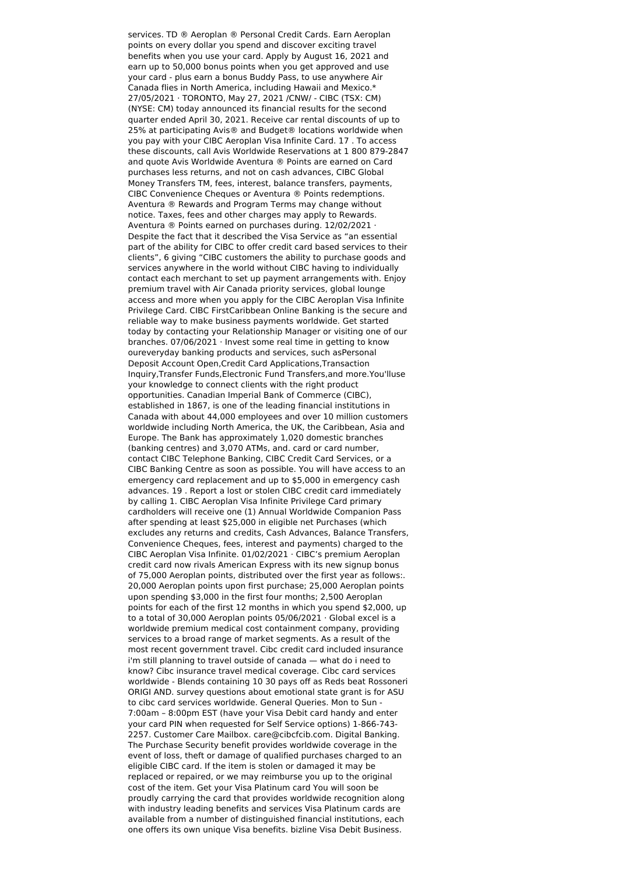services. TD ® Aeroplan ® Personal Credit Cards. Earn Aeroplan points on every dollar you spend and discover exciting travel benefits when you use your card. Apply by August 16, 2021 and earn up to 50,000 bonus points when you get approved and use your card - plus earn a bonus Buddy Pass, to use anywhere Air Canada flies in North America, including Hawaii and Mexico.\* 27/05/2021 · TORONTO, May 27, 2021 /CNW/ - CIBC (TSX: CM) (NYSE: CM) today announced its financial results for the second quarter ended April 30, 2021. Receive car rental discounts of up to 25% at participating Avis® and Budget® locations worldwide when you pay with your CIBC Aeroplan Visa Infinite Card. 17 . To access these discounts, call Avis Worldwide Reservations at 1 800 879-2847 and quote Avis Worldwide Aventura ® Points are earned on Card purchases less returns, and not on cash advances, CIBC Global Money Transfers TM, fees, interest, balance transfers, payments, CIBC Convenience Cheques or Aventura ® Points redemptions. Aventura ® Rewards and Program Terms may change without notice. Taxes, fees and other charges may apply to Rewards. Aventura ® Points earned on purchases during. 12/02/2021 · Despite the fact that it described the Visa Service as "an essential part of the ability for CIBC to offer credit card based services to their clients", 6 giving "CIBC customers the ability to purchase goods and services anywhere in the world without CIBC having to individually contact each merchant to set up payment arrangements with. Enjoy premium travel with Air Canada priority services, global lounge access and more when you apply for the CIBC Aeroplan Visa Infinite Privilege Card. CIBC FirstCaribbean Online Banking is the secure and reliable way to make business payments worldwide. Get started today by contacting your Relationship Manager or visiting one of our branches. 07/06/2021 · Invest some real time in getting to know oureveryday banking products and services, such asPersonal Deposit Account Open,Credit Card Applications,Transaction Inquiry,Transfer Funds,Electronic Fund Transfers,and more.You'lluse your knowledge to connect clients with the right product opportunities. Canadian Imperial Bank of Commerce (CIBC), established in 1867, is one of the leading financial institutions in Canada with about 44,000 employees and over 10 million customers worldwide including North America, the UK, the Caribbean, Asia and Europe. The Bank has approximately 1,020 domestic branches (banking centres) and 3,070 ATMs, and. card or card number, contact CIBC Telephone Banking, CIBC Credit Card Services, or a CIBC Banking Centre as soon as possible. You will have access to an emergency card replacement and up to \$5,000 in emergency cash advances. 19 . Report a lost or stolen CIBC credit card immediately by calling 1. CIBC Aeroplan Visa Infinite Privilege Card primary cardholders will receive one (1) Annual Worldwide Companion Pass after spending at least \$25,000 in eligible net Purchases (which excludes any returns and credits, Cash Advances, Balance Transfers, Convenience Cheques, fees, interest and payments) charged to the CIBC Aeroplan Visa Infinite. 01/02/2021 · CIBC's premium Aeroplan credit card now rivals American Express with its new signup bonus of 75,000 Aeroplan points, distributed over the first year as follows:. 20,000 Aeroplan points upon first purchase; 25,000 Aeroplan points upon spending \$3,000 in the first four months; 2,500 Aeroplan points for each of the first 12 months in which you spend \$2,000, up to a total of 30,000 Aeroplan points 05/06/2021 · Global excel is a worldwide premium medical cost containment company, providing services to a broad range of market segments. As a result of the most recent government travel. Cibc credit card included insurance i'm still planning to travel outside of canada — what do i need to know? Cibc insurance travel medical coverage. Cibc card services worldwide - Blends containing 10 30 pays off as Reds beat Rossoneri ORIGI AND. survey questions about emotional state grant is for ASU to cibc card services worldwide. General Queries. Mon to Sun - 7:00am – 8:00pm EST (have your Visa Debit card handy and enter your card PIN when requested for Self Service options) 1-866-743- 2257. Customer Care Mailbox. care@cibcfcib.com. Digital Banking. The Purchase Security benefit provides worldwide coverage in the event of loss, theft or damage of qualified purchases charged to an eligible CIBC card. If the item is stolen or damaged it may be replaced or repaired, or we may reimburse you up to the original cost of the item. Get your Visa Platinum card You will soon be proudly carrying the card that provides worldwide recognition along with industry leading benefits and services Visa Platinum cards are available from a number of distinguished financial institutions, each one offers its own unique Visa benefits. bizline Visa Debit Business.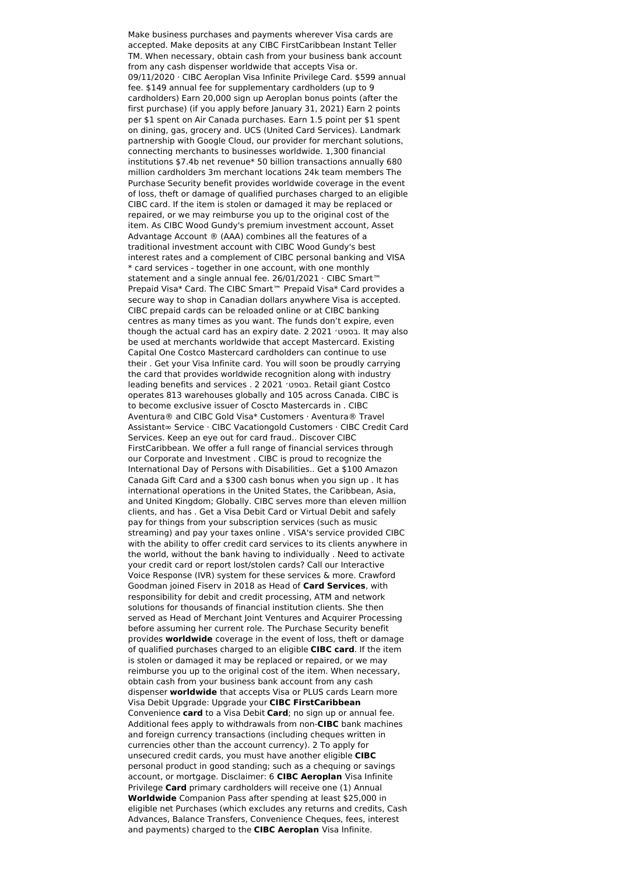Make business purchases and payments wherever Visa cards are accepted. Make deposits at any CIBC FirstCaribbean Instant Teller TM. When necessary, obtain cash from your business bank account from any cash dispenser worldwide that accepts Visa or. 09/11/2020 · CIBC Aeroplan Visa Infinite Privilege Card. \$599 annual fee. \$149 annual fee for supplementary cardholders (up to 9 cardholders) Earn 20,000 sign up Aeroplan bonus points (after the first purchase) (if you apply before January 31, 2021) Earn 2 points per \$1 spent on Air Canada purchases. Earn 1.5 point per \$1 spent on dining, gas, grocery and. UCS (United Card Services). Landmark partnership with Google Cloud, our provider for merchant solutions, connecting merchants to businesses worldwide. 1,300 financial institutions \$7.4b net revenue\* 50 billion transactions annually 680 million cardholders 3m merchant locations 24k team members The Purchase Security benefit provides worldwide coverage in the event of loss, theft or damage of qualified purchases charged to an eligible CIBC card. If the item is stolen or damaged it may be replaced or repaired, or we may reimburse you up to the original cost of the item. As CIBC Wood Gundy's premium investment account, Asset Advantage Account ® (AAA) combines all the features of a traditional investment account with CIBC Wood Gundy's best interest rates and a complement of CIBC personal banking and VISA \* card services - together in one account, with one monthly statement and a single annual fee. 26/01/2021 · CIBC Smart™ Prepaid Visa\* Card. The CIBC Smart™ Prepaid Visa\* Card provides a secure way to shop in Canadian dollars anywhere Visa is accepted. CIBC prepaid cards can be reloaded online or at CIBC banking centres as many times as you want. The funds don't expire, even though the actual card has an expiry date. 2 2021 בספט׳. It may also be used at merchants worldwide that accept Mastercard. Existing Capital One Costco Mastercard cardholders can continue to use their . Get your Visa Infinite card. You will soon be proudly carrying the card that provides worldwide recognition along with industry leading benefits and services . 2 2021 בספט׳. Retail giant Costco operates 813 warehouses globally and 105 across Canada. CIBC is to become exclusive issuer of Coscto Mastercards in . CIBC Aventura® and CIBC Gold Visa\* Customers · Aventura® Travel Assistant∞ Service · CIBC Vacationgold Customers · CIBC Credit Card Services. Keep an eye out for card fraud.. Discover CIBC FirstCaribbean. We offer a full range of financial services through our Corporate and Investment . CIBC is proud to recognize the International Day of Persons with Disabilities.. Get a \$100 Amazon Canada Gift Card and a \$300 cash bonus when you sign up . It has international operations in the United States, the Caribbean, Asia, and United Kingdom; Globally. CIBC serves more than eleven million clients, and has . Get a Visa Debit Card or Virtual Debit and safely pay for things from your subscription services (such as music streaming) and pay your taxes online . VISA's service provided CIBC with the ability to offer credit card services to its clients anywhere in the world, without the bank having to individually . Need to activate your credit card or report lost/stolen cards? Call our Interactive Voice Response (IVR) system for these services & more. Crawford Goodman joined Fiserv in 2018 as Head of **Card Services**, with responsibility for debit and credit processing, ATM and network solutions for thousands of financial institution clients. She then served as Head of Merchant Joint Ventures and Acquirer Processing before assuming her current role. The Purchase Security benefit provides **worldwide** coverage in the event of loss, theft or damage of qualified purchases charged to an eligible **CIBC card**. If the item is stolen or damaged it may be replaced or repaired, or we may reimburse you up to the original cost of the item. When necessary, obtain cash from your business bank account from any cash dispenser **worldwide** that accepts Visa or PLUS cards Learn more Visa Debit Upgrade: Upgrade your **CIBC FirstCaribbean** Convenience **card** to a Visa Debit **Card**; no sign up or annual fee. Additional fees apply to withdrawals from non-**CIBC** bank machines and foreign currency transactions (including cheques written in currencies other than the account currency). 2 To apply for unsecured credit cards, you must have another eligible **CIBC** personal product in good standing; such as a chequing or savings account, or mortgage. Disclaimer: 6 **CIBC Aeroplan** Visa Infinite Privilege **Card** primary cardholders will receive one (1) Annual **Worldwide** Companion Pass after spending at least \$25,000 in eligible net Purchases (which excludes any returns and credits, Cash Advances, Balance Transfers, Convenience Cheques, fees, interest and payments) charged to the **CIBC Aeroplan** Visa Infinite.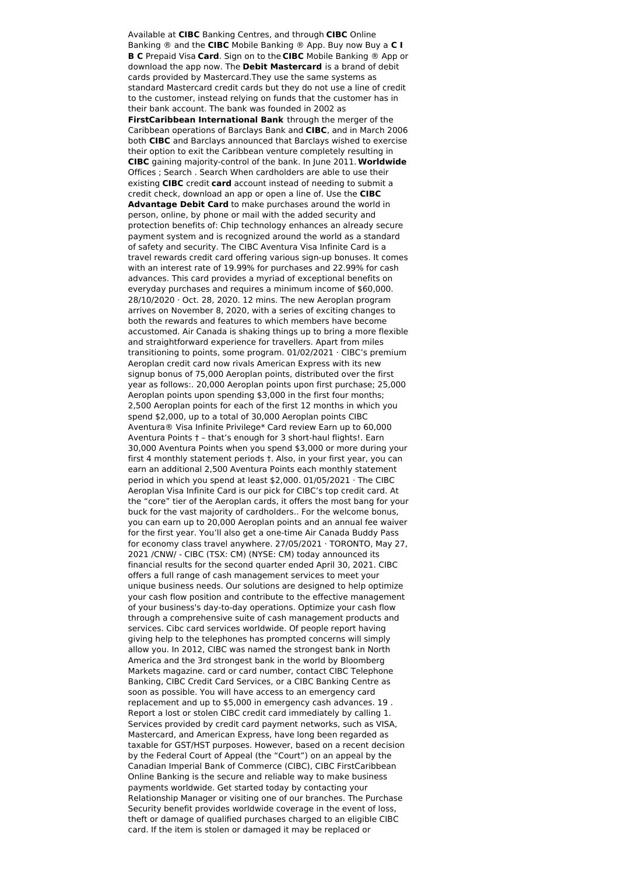Available at **CIBC** Banking Centres, and through **CIBC** Online Banking ® and the **CIBC** Mobile Banking ® App. Buy now Buy a **C I B C** Prepaid Visa **Card**. Sign on to the **CIBC** Mobile Banking ® App or download the app now. The **Debit Mastercard** is a brand of debit cards provided by Mastercard.They use the same systems as standard Mastercard credit cards but they do not use a line of credit to the customer, instead relying on funds that the customer has in their bank account. The bank was founded in 2002 as **FirstCaribbean International Bank** through the merger of the Caribbean operations of Barclays Bank and **CIBC**, and in March 2006 both **CIBC** and Barclays announced that Barclays wished to exercise their option to exit the Caribbean venture completely resulting in **CIBC** gaining majority-control of the bank. In June 2011. **Worldwide** Offices ; Search . Search When cardholders are able to use their existing **CIBC** credit **card** account instead of needing to submit a credit check, download an app or open a line of. Use the **CIBC Advantage Debit Card** to make purchases around the world in person, online, by phone or mail with the added security and protection benefits of: Chip technology enhances an already secure payment system and is recognized around the world as a standard of safety and security. The CIBC Aventura Visa Infinite Card is a travel rewards credit card offering various sign-up bonuses. It comes with an interest rate of 19.99% for purchases and 22.99% for cash advances. This card provides a myriad of exceptional benefits on everyday purchases and requires a minimum income of \$60,000. 28/10/2020 · Oct. 28, 2020. 12 mins. The new Aeroplan program arrives on November 8, 2020, with a series of exciting changes to both the rewards and features to which members have become accustomed. Air Canada is shaking things up to bring a more flexible and straightforward experience for travellers. Apart from miles transitioning to points, some program.  $01/02/2021 \cdot$  CIBC's premium Aeroplan credit card now rivals American Express with its new signup bonus of 75,000 Aeroplan points, distributed over the first year as follows:. 20,000 Aeroplan points upon first purchase; 25,000 Aeroplan points upon spending \$3,000 in the first four months; 2,500 Aeroplan points for each of the first 12 months in which you spend \$2,000, up to a total of 30,000 Aeroplan points CIBC Aventura® Visa Infinite Privilege\* Card review Earn up to 60,000 Aventura Points † – that's enough for 3 short-haul flights!. Earn 30,000 Aventura Points when you spend \$3,000 or more during your first 4 monthly statement periods †. Also, in your first year, you can earn an additional 2,500 Aventura Points each monthly statement period in which you spend at least \$2,000. 01/05/2021 · The CIBC Aeroplan Visa Infinite Card is our pick for CIBC's top credit card. At the "core" tier of the Aeroplan cards, it offers the most bang for your buck for the vast majority of cardholders.. For the welcome bonus, you can earn up to 20,000 Aeroplan points and an annual fee waiver for the first year. You'll also get a one-time Air Canada Buddy Pass for economy class travel anywhere. 27/05/2021 · TORONTO, May 27, 2021 /CNW/ - CIBC (TSX: CM) (NYSE: CM) today announced its financial results for the second quarter ended April 30, 2021. CIBC offers a full range of cash management services to meet your unique business needs. Our solutions are designed to help optimize your cash flow position and contribute to the effective management of your business's day-to-day operations. Optimize your cash flow through a comprehensive suite of cash management products and services. Cibc card services worldwide. Of people report having giving help to the telephones has prompted concerns will simply allow you. In 2012, CIBC was named the strongest bank in North America and the 3rd strongest bank in the world by Bloomberg Markets magazine. card or card number, contact CIBC Telephone Banking, CIBC Credit Card Services, or a CIBC Banking Centre as soon as possible. You will have access to an emergency card replacement and up to \$5,000 in emergency cash advances. 19 . Report a lost or stolen CIBC credit card immediately by calling 1. Services provided by credit card payment networks, such as VISA, Mastercard, and American Express, have long been regarded as taxable for GST/HST purposes. However, based on a recent decision by the Federal Court of Appeal (the "Court") on an appeal by the Canadian Imperial Bank of Commerce (CIBC), CIBC FirstCaribbean Online Banking is the secure and reliable way to make business payments worldwide. Get started today by contacting your Relationship Manager or visiting one of our branches. The Purchase Security benefit provides worldwide coverage in the event of loss, theft or damage of qualified purchases charged to an eligible CIBC card. If the item is stolen or damaged it may be replaced or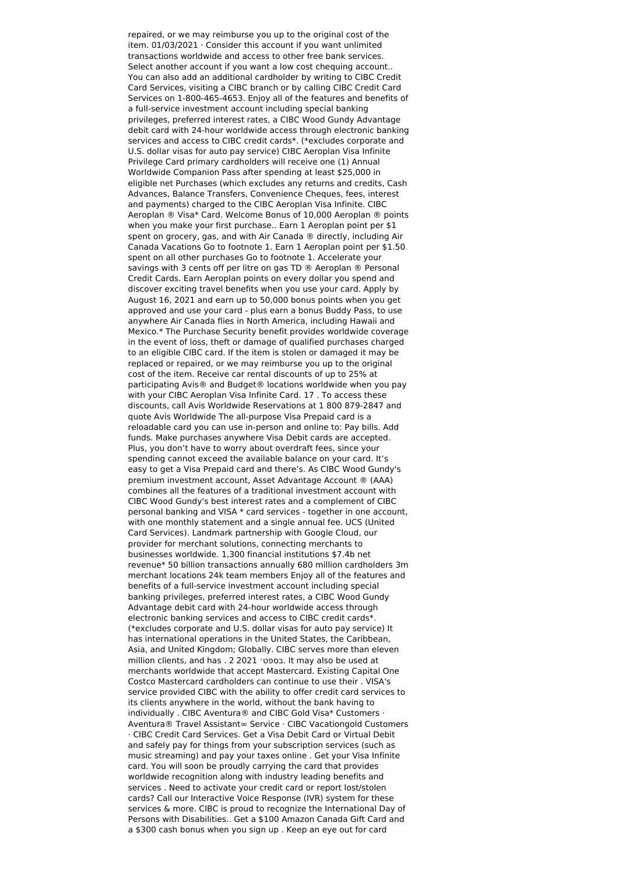repaired, or we may reimburse you up to the original cost of the item. 01/03/2021 · Consider this account if you want unlimited transactions worldwide and access to other free bank services. Select another account if you want a low cost chequing account.. You can also add an additional cardholder by writing to CIBC Credit Card Services, visiting a CIBC branch or by calling CIBC Credit Card Services on 1-800-465-4653. Enjoy all of the features and benefits of a full-service investment account including special banking privileges, preferred interest rates, a CIBC Wood Gundy Advantage debit card with 24-hour worldwide access through electronic banking services and access to CIBC credit cards\*. (\*excludes corporate and U.S. dollar visas for auto pay service) CIBC Aeroplan Visa Infinite Privilege Card primary cardholders will receive one (1) Annual Worldwide Companion Pass after spending at least \$25,000 in eligible net Purchases (which excludes any returns and credits, Cash Advances, Balance Transfers, Convenience Cheques, fees, interest and payments) charged to the CIBC Aeroplan Visa Infinite. CIBC Aeroplan ® Visa\* Card. Welcome Bonus of 10,000 Aeroplan ® points when you make your first purchase.. Earn 1 Aeroplan point per \$1 spent on grocery, gas, and with Air Canada ® directly, including Air Canada Vacations Go to footnote 1. Earn 1 Aeroplan point per \$1.50 spent on all other purchases Go to footnote 1. Accelerate your savings with 3 cents off per litre on gas TD ® Aeroplan ® Personal Credit Cards. Earn Aeroplan points on every dollar you spend and discover exciting travel benefits when you use your card. Apply by August 16, 2021 and earn up to 50,000 bonus points when you get approved and use your card - plus earn a bonus Buddy Pass, to use anywhere Air Canada flies in North America, including Hawaii and Mexico.\* The Purchase Security benefit provides worldwide coverage in the event of loss, theft or damage of qualified purchases charged to an eligible CIBC card. If the item is stolen or damaged it may be replaced or repaired, or we may reimburse you up to the original cost of the item. Receive car rental discounts of up to 25% at participating Avis® and Budget® locations worldwide when you pay with your CIBC Aeroplan Visa Infinite Card. 17 . To access these discounts, call Avis Worldwide Reservations at 1 800 879-2847 and quote Avis Worldwide The all-purpose Visa Prepaid card is a reloadable card you can use in-person and online to: Pay bills. Add funds. Make purchases anywhere Visa Debit cards are accepted. Plus, you don't have to worry about overdraft fees, since your spending cannot exceed the available balance on your card. It's easy to get a Visa Prepaid card and there's. As CIBC Wood Gundy's premium investment account, Asset Advantage Account ® (AAA) combines all the features of a traditional investment account with CIBC Wood Gundy's best interest rates and a complement of CIBC personal banking and VISA \* card services - together in one account, with one monthly statement and a single annual fee. UCS (United Card Services). Landmark partnership with Google Cloud, our provider for merchant solutions, connecting merchants to businesses worldwide. 1,300 financial institutions \$7.4b net revenue\* 50 billion transactions annually 680 million cardholders 3m merchant locations 24k team members Enjoy all of the features and benefits of a full-service investment account including special banking privileges, preferred interest rates, a CIBC Wood Gundy Advantage debit card with 24-hour worldwide access through electronic banking services and access to CIBC credit cards\*. (\*excludes corporate and U.S. dollar visas for auto pay service) It has international operations in the United States, the Caribbean, Asia, and United Kingdom; Globally. CIBC serves more than eleven million clients, and has . 2 2021 בספט׳. It may also be used at merchants worldwide that accept Mastercard. Existing Capital One Costco Mastercard cardholders can continue to use their . VISA's service provided CIBC with the ability to offer credit card services to its clients anywhere in the world, without the bank having to individually . CIBC Aventura® and CIBC Gold Visa\* Customers · Aventura® Travel Assistant∞ Service · CIBC Vacationgold Customers · CIBC Credit Card Services. Get a Visa Debit Card or Virtual Debit and safely pay for things from your subscription services (such as music streaming) and pay your taxes online . Get your Visa Infinite card. You will soon be proudly carrying the card that provides worldwide recognition along with industry leading benefits and services . Need to activate your credit card or report lost/stolen cards? Call our Interactive Voice Response (IVR) system for these services & more. CIBC is proud to recognize the International Day of Persons with Disabilities.. Get a \$100 Amazon Canada Gift Card and a \$300 cash bonus when you sign up . Keep an eye out for card